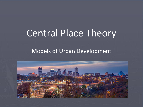# Central Place Theory

#### Models of Urban Development

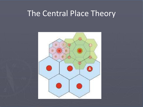## The Central Place Theory

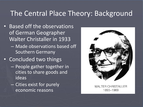#### The Central Place Theory: Background

- Based off the observations of German Geographer Walter Christaller in 1933
	- Made observations based off Southern Germany
- Concluded two things
	- People gather together in cities to share goods and ideas
	- Cities exist for purely economic reasons



**WALTER CHRISTALLER** 1893-1969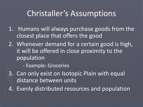## Christaller's Assumptions

- 1. Humans will always purchase goods from the closest place that offers the good
- 2. Whenever demand for a certain good is high, it will be offered in close proximity to the population
	- Example: Groceries
- 3. Can only exist on Isotopic Plain with equal distance between units
- 4. Evenly distributed resources and population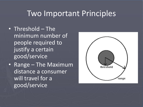## Two Important Principles

- Threshold The minimum number of people required to justify a certain good/service
- Range The Maximum distance a consumer will travel for a good/service

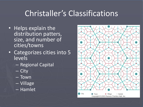## Christaller's Classifications

- Helps explain the distribution patters, size, and number of cities/towns
- Categorizes cities into 5 levels
	- Regional Capital
	- City
	- Town
	- Village
	- Hamlet

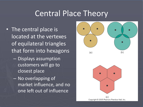## Central Place Theory

- The central place is located at the vertexes of equilateral triangles that form into hexagons
	- Displays assumption customers will go to closest place
	- No overlapping of market influence, and no one left out of influence



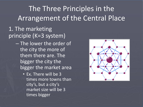## The Three Principles in the Arrangement of the Central Place

#### 1. The marketing principle (K=3 system)

- The lower the order of the city the more of them there are. The bigger the city the bigger the market area
	- Ex. There will be 3 times more towns than city's, but a city's market size will be 3 times bigger

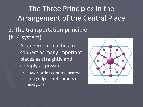The Three Principles in the Arrangement of the Central Place

- 2. The transportation principle (K=4 system)
	- Arrangement of cities to connect as many important places as straightly and cheaply as possible
		- Lower order centers located along edges, not corners of hexagons

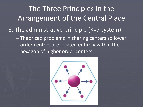The Three Principles in the Arrangement of the Central Place 3. The administrative principle (K=7 system) – Theorized problems in sharing centers so lower order centers are located entirely within the hexagon of higher order centers

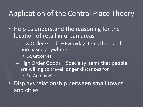#### Application of the Central Place Theory

- Help us understand the reasoning for the location of retail in urban areas
	- Low Order Goods Everyday items that can be purchased anywhere
		- Ex. Groceries
	- High Order Goods Specialty items that people are willing to travel longer distances for
		- Ex. Automobiles
- Displays relationship between small towns and cities